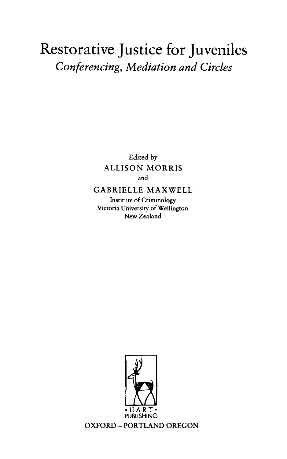## Restorative Justice for Juveniles *Conferencing, Mediation and Circles*

Edited by ALLISON MORRIS and

GABRIELLE MAXWELL

Institute of Criminology Victoria University of Wellington New Zealand

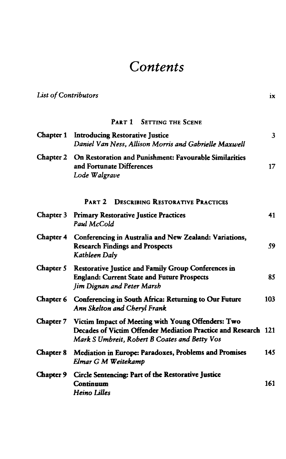## *Contents*

*List of Contributors*

| <b>List of Contributors</b> |                                                                                                                                                                       | iх  |
|-----------------------------|-----------------------------------------------------------------------------------------------------------------------------------------------------------------------|-----|
|                             | PART 1 SETTING THE SCENE                                                                                                                                              |     |
| Chapter 1                   | <b>Introducing Restorative Justice</b><br>Daniel Van Ness, Allison Morris and Gabrielle Maxwell                                                                       | 3   |
| Chapter 2                   | On Restoration and Punishment: Favourable Similarities<br>and Fortunate Differences<br>Lode Walgrave                                                                  | 17  |
|                             | <b>PART 2</b><br><b>DESCRIBING RESTORATIVE PRACTICES</b>                                                                                                              |     |
| Chapter 3                   | <b>Primary Restorative Justice Practices</b><br>Paul McCold                                                                                                           | 41  |
| Chapter 4                   | Conferencing in Australia and New Zealand: Variations,<br><b>Research Findings and Prospects</b><br>Kathleen Daly                                                     | 59  |
| Chapter 5                   | <b>Restorative Justice and Family Group Conferences in</b><br><b>England: Current State and Future Prospects</b><br>Jim Dignan and Peter Marsh                        | 85  |
| Chapter 6                   | Conferencing in South Africa: Returning to Our Future<br>Ann Skelton and Cheryl Frank                                                                                 | 103 |
| Chapter 7                   | Victim Impact of Meeting with Young Offenders: Two<br>Decades of Victim Offender Mediation Practice and Research 121<br>Mark S Umbreit, Robert B Coates and Betty Vos |     |
| Chapter 8                   | Mediation in Europe: Paradoxes, Problems and Promises<br>Elmar G M Weitekamp                                                                                          | 145 |
| Chapter 9                   | Circle Sentencing: Part of the Restorative Justice<br>Continuum<br>Heino Lilles                                                                                       | 161 |